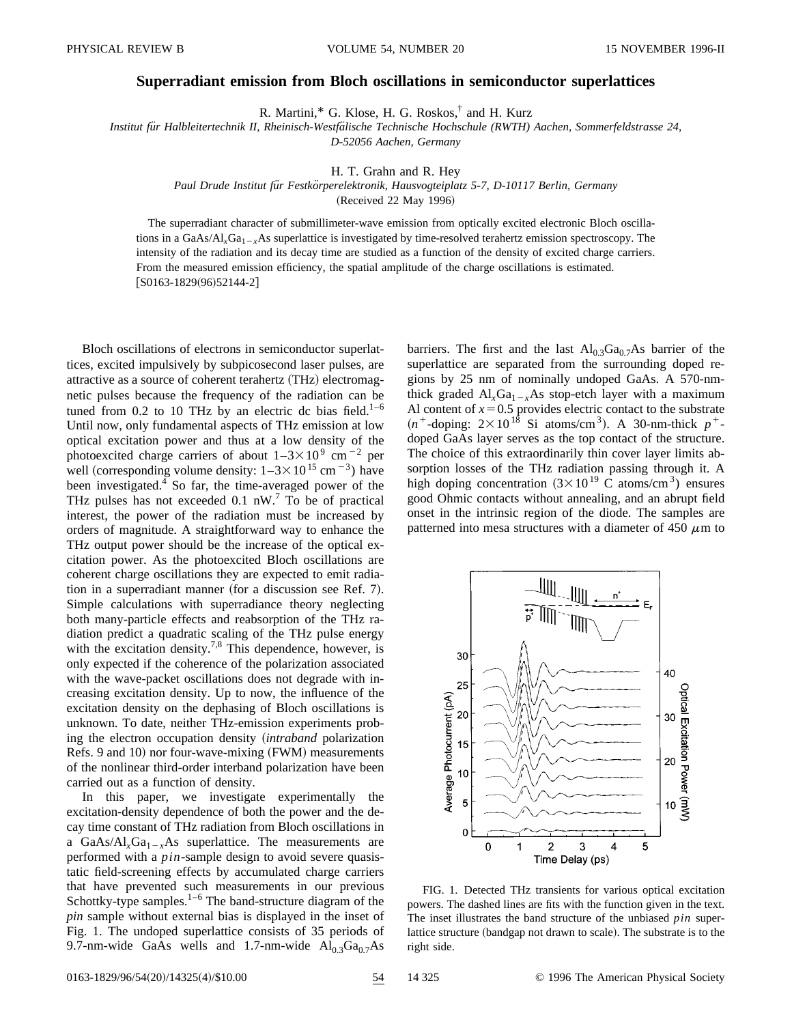## **Superradiant emission from Bloch oscillations in semiconductor superlattices**

R. Martini,\* G. Klose, H. G. Roskos,† and H. Kurz

*Institut fu¨r Halbleitertechnik II, Rheinisch-Westfa¨lische Technische Hochschule (RWTH) Aachen, Sommerfeldstrasse 24, D-52056 Aachen, Germany*

H. T. Grahn and R. Hey

Paul Drude Institut für Festkörperelektronik, Hausvogteiplatz 5-7, D-10117 Berlin, Germany

(Received 22 May 1996)

The superradiant character of submillimeter-wave emission from optically excited electronic Bloch oscillations in a GaAs/ $Al<sub>x</sub>Ga<sub>1-x</sub>As$  superlattice is investigated by time-resolved terahertz emission spectroscopy. The intensity of the radiation and its decay time are studied as a function of the density of excited charge carriers. From the measured emission efficiency, the spatial amplitude of the charge oscillations is estimated.  $[$ S0163-1829(96)52144-2]

Bloch oscillations of electrons in semiconductor superlattices, excited impulsively by subpicosecond laser pulses, are attractive as a source of coherent terahertz (THz) electromagnetic pulses because the frequency of the radiation can be tuned from 0.2 to 10 THz by an electric dc bias field.<sup>1–6</sup> Until now, only fundamental aspects of THz emission at low optical excitation power and thus at a low density of the photoexcited charge carriers of about  $1-3\times10^{9}$  cm<sup>-2</sup> per well (corresponding volume density:  $1-3\times10^{15}$  cm<sup>-3</sup>) have been investigated.<sup>4</sup> So far, the time-averaged power of the THz pulses has not exceeded 0.1  $nW<sup>7</sup>$  To be of practical interest, the power of the radiation must be increased by orders of magnitude. A straightforward way to enhance the THz output power should be the increase of the optical excitation power. As the photoexcited Bloch oscillations are coherent charge oscillations they are expected to emit radiation in a superradiant manner (for a discussion see Ref. 7). Simple calculations with superradiance theory neglecting both many-particle effects and reabsorption of the THz radiation predict a quadratic scaling of the THz pulse energy with the excitation density.<sup>7,8</sup> This dependence, however, is only expected if the coherence of the polarization associated with the wave-packet oscillations does not degrade with increasing excitation density. Up to now, the influence of the excitation density on the dephasing of Bloch oscillations is unknown. To date, neither THz-emission experiments probing the electron occupation density (intraband polarization Refs. 9 and 10) nor four-wave-mixing (FWM) measurements of the nonlinear third-order interband polarization have been carried out as a function of density.

In this paper, we investigate experimentally the excitation-density dependence of both the power and the decay time constant of THz radiation from Bloch oscillations in a GaAs/Al<sub>x</sub>Ga<sub>1-x</sub>As superlattice. The measurements are performed with a *pin*-sample design to avoid severe quasistatic field-screening effects by accumulated charge carriers that have prevented such measurements in our previous Schottky-type samples. $1-6$  The band-structure diagram of the *pin* sample without external bias is displayed in the inset of Fig. 1. The undoped superlattice consists of 35 periods of 9.7-nm-wide GaAs wells and 1.7-nm-wide  $Al_{0.3}Ga_{0.7}As$ 

barriers. The first and the last  $Al<sub>0.3</sub>Ga<sub>0.7</sub>As$  barrier of the superlattice are separated from the surrounding doped regions by 25 nm of nominally undoped GaAs. A 570-nmthick graded  $Al_xGa_{1-x}As$  stop-etch layer with a maximum Al content of  $x=0.5$  provides electric contact to the substrate  $(n^+$ -doping:  $2 \times 10^{18}$  Si atoms/cm<sup>3</sup>). A 30-nm-thick  $p^+$ doped GaAs layer serves as the top contact of the structure. The choice of this extraordinarily thin cover layer limits absorption losses of the THz radiation passing through it. A high doping concentration  $(3 \times 10^{19} \text{ C}$  atoms/cm<sup>3</sup>) ensures good Ohmic contacts without annealing, and an abrupt field onset in the intrinsic region of the diode. The samples are patterned into mesa structures with a diameter of 450  $\mu$ m to



FIG. 1. Detected THz transients for various optical excitation powers. The dashed lines are fits with the function given in the text. The inset illustrates the band structure of the unbiased *pin* superlattice structure (bandgap not drawn to scale). The substrate is to the right side.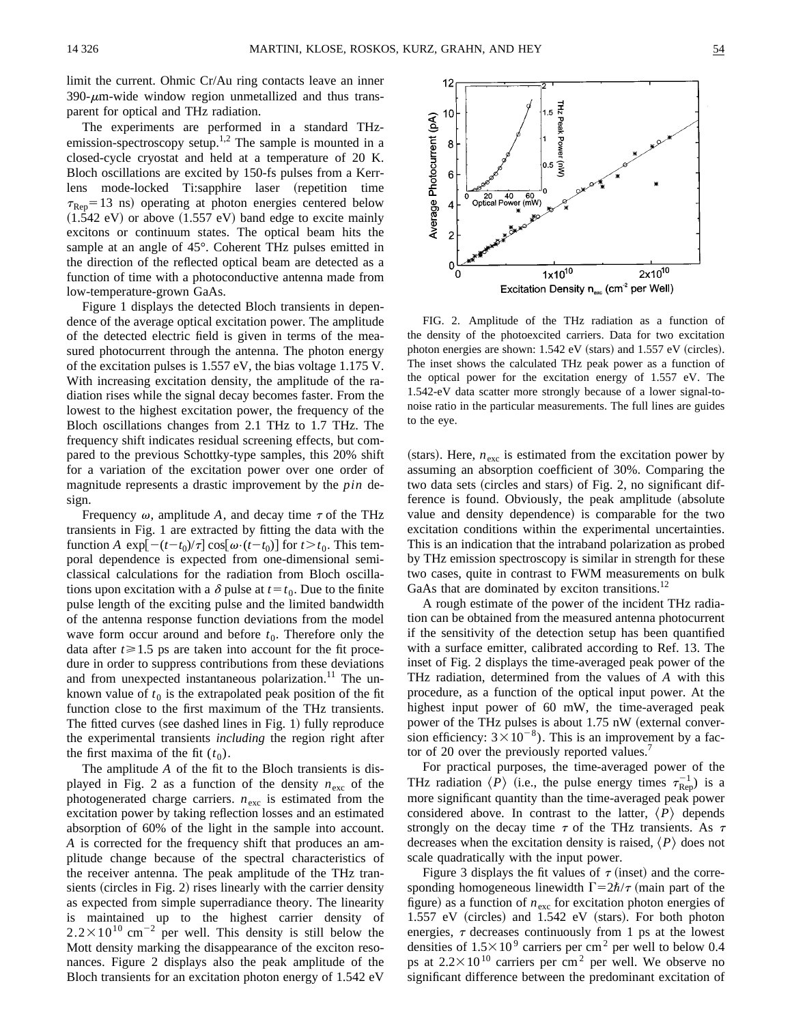limit the current. Ohmic Cr/Au ring contacts leave an inner  $390-\mu$ m-wide window region unmetallized and thus transparent for optical and THz radiation.

The experiments are performed in a standard THzemission-spectroscopy setup.<sup>1,2</sup> The sample is mounted in a closed-cycle cryostat and held at a temperature of 20 K. Bloch oscillations are excited by 150-fs pulses from a Kerrlens mode-locked Ti:sapphire laser (repetition time  $\tau_{\text{Ren}}$ =13 ns) operating at photon energies centered below  $(1.542 \text{ eV})$  or above  $(1.557 \text{ eV})$  band edge to excite mainly excitons or continuum states. The optical beam hits the sample at an angle of 45°. Coherent THz pulses emitted in the direction of the reflected optical beam are detected as a function of time with a photoconductive antenna made from low-temperature-grown GaAs.

Figure 1 displays the detected Bloch transients in dependence of the average optical excitation power. The amplitude of the detected electric field is given in terms of the measured photocurrent through the antenna. The photon energy of the excitation pulses is 1.557 eV, the bias voltage 1.175 V. With increasing excitation density, the amplitude of the radiation rises while the signal decay becomes faster. From the lowest to the highest excitation power, the frequency of the Bloch oscillations changes from 2.1 THz to 1.7 THz. The frequency shift indicates residual screening effects, but compared to the previous Schottky-type samples, this 20% shift for a variation of the excitation power over one order of magnitude represents a drastic improvement by the *pin* design.

Frequency  $\omega$ , amplitude A, and decay time  $\tau$  of the THz transients in Fig. 1 are extracted by fitting the data with the function *A* exp $\left[ -(t-t_0)/\tau \right]$  cos $\left[ \omega \cdot (t-t_0) \right]$  for  $t > t_0$ . This temporal dependence is expected from one-dimensional semiclassical calculations for the radiation from Bloch oscillations upon excitation with a  $\delta$  pulse at  $t = t_0$ . Due to the finite pulse length of the exciting pulse and the limited bandwidth of the antenna response function deviations from the model wave form occur around and before  $t_0$ . Therefore only the data after  $t \ge 1.5$  ps are taken into account for the fit procedure in order to suppress contributions from these deviations and from unexpected instantaneous polarization.<sup>11</sup> The unknown value of  $t_0$  is the extrapolated peak position of the fit function close to the first maximum of the THz transients. The fitted curves (see dashed lines in Fig. 1) fully reproduce the experimental transients *including* the region right after the first maxima of the fit  $(t_0)$ .

The amplitude *A* of the fit to the Bloch transients is displayed in Fig. 2 as a function of the density  $n_{\text{exc}}$  of the photogenerated charge carriers.  $n_{\text{exc}}$  is estimated from the excitation power by taking reflection losses and an estimated absorption of 60% of the light in the sample into account. *A* is corrected for the frequency shift that produces an amplitude change because of the spectral characteristics of the receiver antenna. The peak amplitude of the THz transients (circles in Fig. 2) rises linearly with the carrier density as expected from simple superradiance theory. The linearity is maintained up to the highest carrier density of  $2.2 \times 10^{10}$  cm<sup>-2</sup> per well. This density is still below the Mott density marking the disappearance of the exciton resonances. Figure 2 displays also the peak amplitude of the Bloch transients for an excitation photon energy of 1.542 eV



FIG. 2. Amplitude of the THz radiation as a function of the density of the photoexcited carriers. Data for two excitation photon energies are shown:  $1.542$  eV (stars) and  $1.557$  eV (circles). The inset shows the calculated THz peak power as a function of the optical power for the excitation energy of 1.557 eV. The 1.542-eV data scatter more strongly because of a lower signal-tonoise ratio in the particular measurements. The full lines are guides to the eye.

(stars). Here,  $n_{\text{exc}}$  is estimated from the excitation power by assuming an absorption coefficient of 30%. Comparing the two data sets (circles and stars) of Fig. 2, no significant difference is found. Obviously, the peak amplitude (absolute value and density dependence) is comparable for the two excitation conditions within the experimental uncertainties. This is an indication that the intraband polarization as probed by THz emission spectroscopy is similar in strength for these two cases, quite in contrast to FWM measurements on bulk GaAs that are dominated by exciton transitions.<sup>12</sup>

A rough estimate of the power of the incident THz radiation can be obtained from the measured antenna photocurrent if the sensitivity of the detection setup has been quantified with a surface emitter, calibrated according to Ref. 13. The inset of Fig. 2 displays the time-averaged peak power of the THz radiation, determined from the values of *A* with this procedure, as a function of the optical input power. At the highest input power of 60 mW, the time-averaged peak power of the THz pulses is about 1.75 nW (external conversion efficiency:  $3 \times 10^{-8}$ ). This is an improvement by a factor of 20 over the previously reported values.<sup>7</sup>

For practical purposes, the time-averaged power of the THz radiation  $\langle P \rangle$  (i.e., the pulse energy times  $\tau_{\rm Rep}^{-1}$ ) is a more significant quantity than the time-averaged peak power considered above. In contrast to the latter,  $\langle P \rangle$  depends strongly on the decay time  $\tau$  of the THz transients. As  $\tau$ decreases when the excitation density is raised,  $\langle P \rangle$  does not scale quadratically with the input power.

Figure 3 displays the fit values of  $\tau$  (inset) and the corresponding homogeneous linewidth  $\Gamma = 2\hbar/\tau$  (main part of the figure) as a function of  $n_{\text{exc}}$  for excitation photon energies of  $1.557$  eV (circles) and  $1.542$  eV (stars). For both photon energies,  $\tau$  decreases continuously from 1 ps at the lowest densities of  $1.5 \times 10^9$  carriers per cm<sup>2</sup> per well to below 0.4 ps at  $2.2 \times 10^{10}$  carriers per cm<sup>2</sup> per well. We observe no significant difference between the predominant excitation of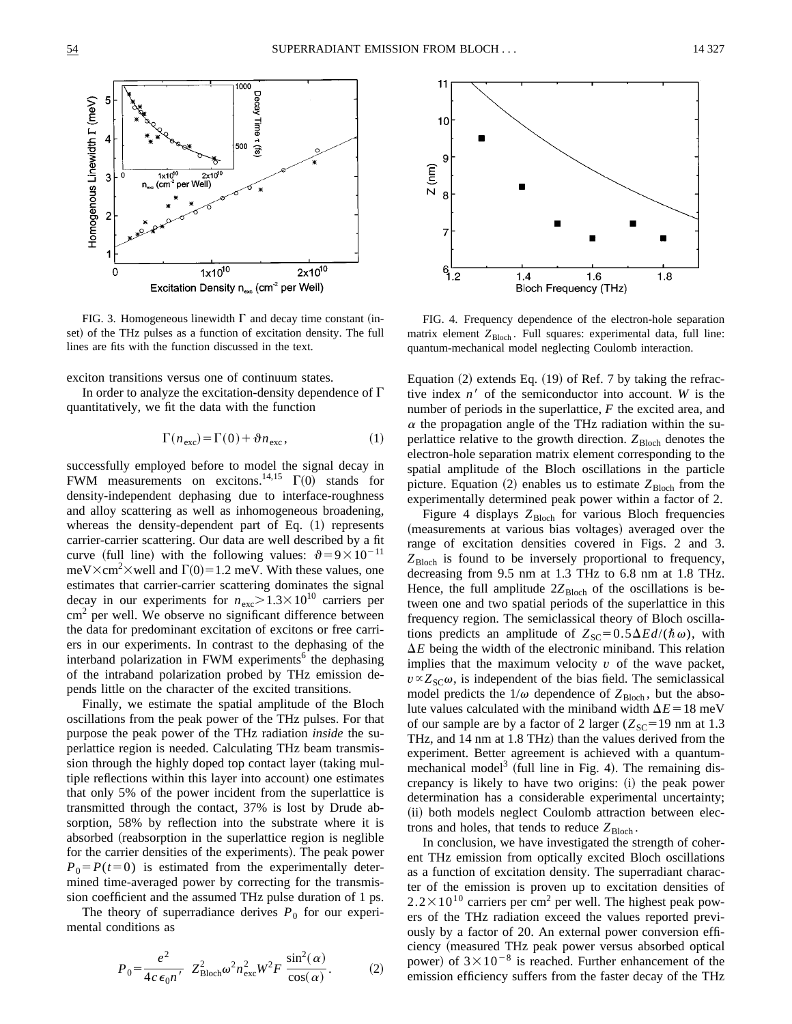

FIG. 3. Homogeneous linewidth  $\Gamma$  and decay time constant (inset) of the THz pulses as a function of excitation density. The full lines are fits with the function discussed in the text.

exciton transitions versus one of continuum states.

In order to analyze the excitation-density dependence of  $\Gamma$ quantitatively, we fit the data with the function

$$
\Gamma(n_{\text{exc}}) = \Gamma(0) + \vartheta n_{\text{exc}},\tag{1}
$$

successfully employed before to model the signal decay in FWM measurements on excitons.<sup>14,15</sup>  $\Gamma(0)$  stands for density-independent dephasing due to interface-roughness and alloy scattering as well as inhomogeneous broadening, whereas the density-dependent part of Eq.  $(1)$  represents carrier-carrier scattering. Our data are well described by a fit curve (full line) with the following values:  $\vartheta = 9 \times 10^{-11}$  $meV\times cm^2\times$  well and  $\Gamma(0)=1.2$  meV. With these values, one estimates that carrier-carrier scattering dominates the signal decay in our experiments for  $n_{\text{exc}} > 1.3 \times 10^{10}$  carriers per cm<sup>2</sup> per well. We observe no significant difference between the data for predominant excitation of excitons or free carriers in our experiments. In contrast to the dephasing of the interband polarization in FWM experiments<sup>6</sup> the dephasing of the intraband polarization probed by THz emission depends little on the character of the excited transitions.

Finally, we estimate the spatial amplitude of the Bloch oscillations from the peak power of the THz pulses. For that purpose the peak power of the THz radiation *inside* the superlattice region is needed. Calculating THz beam transmission through the highly doped top contact layer (taking multiple reflections within this layer into account) one estimates that only 5% of the power incident from the superlattice is transmitted through the contact, 37% is lost by Drude absorption, 58% by reflection into the substrate where it is absorbed (reabsorption in the superlattice region is neglible for the carrier densities of the experiments). The peak power  $P_0 = P(t=0)$  is estimated from the experimentally determined time-averaged power by correcting for the transmission coefficient and the assumed THz pulse duration of 1 ps.

The theory of superradiance derives  $P_0$  for our experimental conditions as

$$
P_0 = \frac{e^2}{4c\epsilon_0 n'} Z_{\text{Bloch}}^2 \omega^2 n_{\text{exc}}^2 W^2 F \frac{\sin^2(\alpha)}{\cos(\alpha)}.
$$
 (2)



FIG. 4. Frequency dependence of the electron-hole separation matrix element Z<sub>Bloch</sub>. Full squares: experimental data, full line: quantum-mechanical model neglecting Coulomb interaction.

Equation  $(2)$  extends Eq.  $(19)$  of Ref. 7 by taking the refractive index  $n<sup>3</sup>$  of the semiconductor into account. *W* is the number of periods in the superlattice, *F* the excited area, and  $\alpha$  the propagation angle of the THz radiation within the superlattice relative to the growth direction.  $Z_{\text{Bloch}}$  denotes the electron-hole separation matrix element corresponding to the spatial amplitude of the Bloch oscillations in the particle picture. Equation  $(2)$  enables us to estimate  $Z_{\text{Bloch}}$  from the experimentally determined peak power within a factor of 2.

Figure 4 displays  $Z_{\text{Bloch}}$  for various Bloch frequencies (measurements at various bias voltages) averaged over the range of excitation densities covered in Figs. 2 and 3.  $Z_{\text{Bloch}}$  is found to be inversely proportional to frequency, decreasing from 9.5 nm at 1.3 THz to 6.8 nm at 1.8 THz. Hence, the full amplitude  $2Z_{Bloch}$  of the oscillations is between one and two spatial periods of the superlattice in this frequency region. The semiclassical theory of Bloch oscillations predicts an amplitude of  $Z_{\text{SC}}=0.5\Delta Ed/(\hbar\omega)$ , with  $\Delta E$  being the width of the electronic miniband. This relation implies that the maximum velocity  $v$  of the wave packet,  $v \propto Z_{\rm SC}\omega$ , is independent of the bias field. The semiclassical model predicts the  $1/\omega$  dependence of  $Z_{\text{Bloch}}$ , but the absolute values calculated with the miniband width  $\Delta E = 18$  meV of our sample are by a factor of 2 larger  $(Z_{\text{SC}}=19 \text{ nm at } 1.3$ THz, and  $14 \text{ nm}$  at  $1.8 \text{ THz}$ ) than the values derived from the experiment. Better agreement is achieved with a quantummechanical model<sup>3</sup> (full line in Fig. 4). The remaining discrepancy is likely to have two origins: (i) the peak power determination has a considerable experimental uncertainty; (ii) both models neglect Coulomb attraction between electrons and holes, that tends to reduce  $Z_{\text{Bloch}}$ .

In conclusion, we have investigated the strength of coherent THz emission from optically excited Bloch oscillations as a function of excitation density. The superradiant character of the emission is proven up to excitation densities of  $2.2 \times 10^{10}$  carriers per cm<sup>2</sup> per well. The highest peak powers of the THz radiation exceed the values reported previously by a factor of 20. An external power conversion efficiency (measured THz peak power versus absorbed optical power) of  $3 \times 10^{-8}$  is reached. Further enhancement of the emission efficiency suffers from the faster decay of the THz